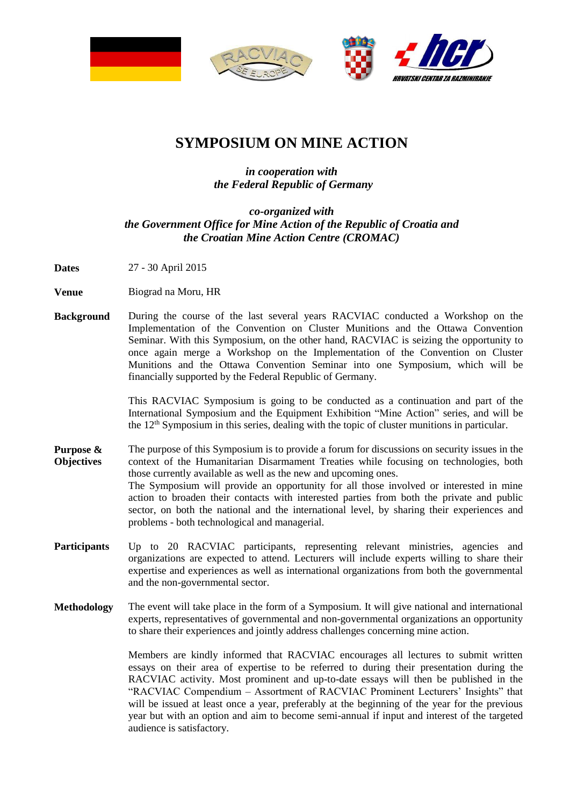

## **SYMPOSIUM ON MINE ACTION**

## *in cooperation with the Federal Republic of Germany*

## *co-organized with the Government Office for Mine Action of the Republic of Croatia and the Croatian Mine Action Centre (CROMAC)*

- **Dates** 27 30 April 2015
- **Venue** Biograd na Moru, HR
- **Background** During the course of the last several years RACVIAC conducted a Workshop on the Implementation of the Convention on Cluster Munitions and the Ottawa Convention Seminar. With this Symposium, on the other hand, RACVIAC is seizing the opportunity to once again merge a Workshop on the Implementation of the Convention on Cluster Munitions and the Ottawa Convention Seminar into one Symposium, which will be financially supported by the Federal Republic of Germany.

This RACVIAC Symposium is going to be conducted as a continuation and part of the International Symposium and the Equipment Exhibition "Mine Action" series, and will be the  $12<sup>th</sup>$  Symposium in this series, dealing with the topic of cluster munitions in particular.

- **Purpose & Objectives** The purpose of this Symposium is to provide a forum for discussions on security issues in the context of the Humanitarian Disarmament Treaties while focusing on technologies, both those currently available as well as the new and upcoming ones. The Symposium will provide an opportunity for all those involved or interested in mine action to broaden their contacts with interested parties from both the private and public sector, on both the national and the international level, by sharing their experiences and problems - both technological and managerial.
- Participants Up to 20 RACVIAC participants, representing relevant ministries, agencies and organizations are expected to attend. Lecturers will include experts willing to share their expertise and experiences as well as international organizations from both the governmental and the non-governmental sector.
- **Methodology** The event will take place in the form of a Symposium. It will give national and international experts, representatives of governmental and non-governmental organizations an opportunity to share their experiences and jointly address challenges concerning mine action.

Members are kindly informed that RACVIAC encourages all lectures to submit written essays on their area of expertise to be referred to during their presentation during the RACVIAC activity. Most prominent and up-to-date essays will then be published in the "RACVIAC Compendium – Assortment of RACVIAC Prominent Lecturers' Insights" that will be issued at least once a year, preferably at the beginning of the year for the previous year but with an option and aim to become semi-annual if input and interest of the targeted audience is satisfactory.